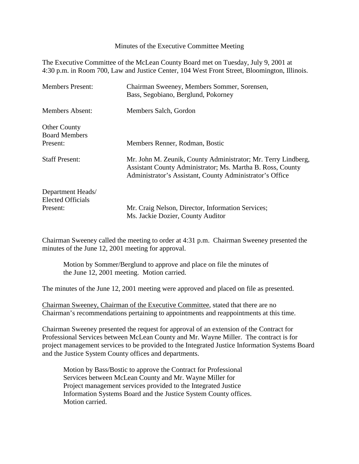Minutes of the Executive Committee Meeting

The Executive Committee of the McLean County Board met on Tuesday, July 9, 2001 at 4:30 p.m. in Room 700, Law and Justice Center, 104 West Front Street, Bloomington, Illinois.

| <b>Members Present:</b>                       | Chairman Sweeney, Members Sommer, Sorensen,<br>Bass, Segobiano, Berglund, Pokorney                                                                                                      |
|-----------------------------------------------|-----------------------------------------------------------------------------------------------------------------------------------------------------------------------------------------|
| <b>Members Absent:</b>                        | Members Salch, Gordon                                                                                                                                                                   |
| <b>Other County</b><br><b>Board Members</b>   |                                                                                                                                                                                         |
| Present:                                      | Members Renner, Rodman, Bostic                                                                                                                                                          |
| <b>Staff Present:</b>                         | Mr. John M. Zeunik, County Administrator; Mr. Terry Lindberg,<br>Assistant County Administrator; Ms. Martha B. Ross, County<br>Administrator's Assistant, County Administrator's Office |
| Department Heads/<br><b>Elected Officials</b> |                                                                                                                                                                                         |
| Present:                                      | Mr. Craig Nelson, Director, Information Services;                                                                                                                                       |
|                                               | Ms. Jackie Dozier, County Auditor                                                                                                                                                       |

Chairman Sweeney called the meeting to order at 4:31 p.m. Chairman Sweeney presented the minutes of the June 12, 2001 meeting for approval.

Motion by Sommer/Berglund to approve and place on file the minutes of the June 12, 2001 meeting. Motion carried.

The minutes of the June 12, 2001 meeting were approved and placed on file as presented.

Chairman Sweeney, Chairman of the Executive Committee, stated that there are no Chairman's recommendations pertaining to appointments and reappointments at this time.

Chairman Sweeney presented the request for approval of an extension of the Contract for Professional Services between McLean County and Mr. Wayne Miller. The contract is for project management services to be provided to the Integrated Justice Information Systems Board and the Justice System County offices and departments.

Motion by Bass/Bostic to approve the Contract for Professional Services between McLean County and Mr. Wayne Miller for Project management services provided to the Integrated Justice Information Systems Board and the Justice System County offices. Motion carried.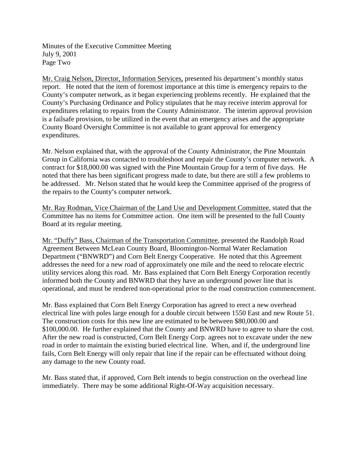Minutes of the Executive Committee Meeting July 9, 2001 Page Two

Mr. Craig Nelson, Director, Information Services, presented his department's monthly status report. He noted that the item of foremost importance at this time is emergency repairs to the County's computer network, as it began experiencing problems recently. He explained that the County's Purchasing Ordinance and Policy stipulates that he may receive interim approval for expenditures relating to repairs from the County Administrator. The interim approval provision is a failsafe provision, to be utilized in the event that an emergency arises and the appropriate County Board Oversight Committee is not available to grant approval for emergency expenditures.

Mr. Nelson explained that, with the approval of the County Administrator, the Pine Mountain Group in California was contacted to troubleshoot and repair the County's computer network. A contract for \$18,000.00 was signed with the Pine Mountain Group for a term of five days. He noted that there has been significant progress made to date, but there are still a few problems to be addressed. Mr. Nelson stated that he would keep the Committee apprised of the progress of the repairs to the County's computer network.

Mr. Ray Rodman, Vice Chairman of the Land Use and Development Committee, stated that the Committee has no items for Committee action. One item will be presented to the full County Board at its regular meeting.

Mr. "Duffy" Bass, Chairman of the Transportation Committee, presented the Randolph Road Agreement Between McLean County Board, Bloomington-Normal Water Reclamation Department ("BNWRD") and Corn Belt Energy Cooperative. He noted that this Agreement addresses the need for a new road of approximately one mile and the need to relocate electric utility services along this road. Mr. Bass explained that Corn Belt Energy Corporation recently informed both the County and BNWRD that they have an underground power line that is operational, and must be rendered non-operational prior to the road construction commencement.

Mr. Bass explained that Corn Belt Energy Corporation has agreed to erect a new overhead electrical line with poles large enough for a double circuit between 1550 East and new Route 51. The construction costs for this new line are estimated to be between \$80,000.00 and \$100,000.00. He further explained that the County and BNWRD have to agree to share the cost. After the new road is constructed, Corn Belt Energy Corp. agrees not to excavate under the new road in order to maintain the existing buried electrical line. When, and if, the underground line fails, Corn Belt Energy will only repair that line if the repair can be effectuated without doing any damage to the new County road.

Mr. Bass stated that, if approved, Corn Belt intends to begin construction on the overhead line immediately. There may be some additional Right-Of-Way acquisition necessary.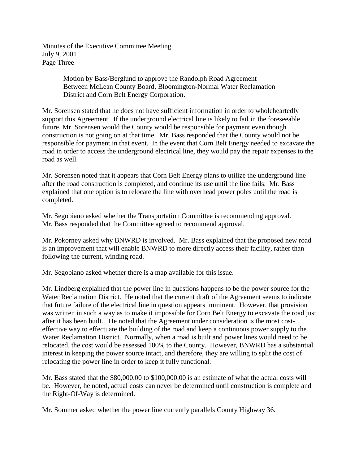Minutes of the Executive Committee Meeting July 9, 2001 Page Three

> Motion by Bass/Berglund to approve the Randolph Road Agreement Between McLean County Board, Bloomington-Normal Water Reclamation District and Corn Belt Energy Corporation.

Mr. Sorensen stated that he does not have sufficient information in order to wholeheartedly support this Agreement. If the underground electrical line is likely to fail in the foreseeable future, Mr. Sorensen would the County would be responsible for payment even though construction is not going on at that time. Mr. Bass responded that the County would not be responsible for payment in that event. In the event that Corn Belt Energy needed to excavate the road in order to access the underground electrical line, they would pay the repair expenses to the road as well.

Mr. Sorensen noted that it appears that Corn Belt Energy plans to utilize the underground line after the road construction is completed, and continue its use until the line fails. Mr. Bass explained that one option is to relocate the line with overhead power poles until the road is completed.

Mr. Segobiano asked whether the Transportation Committee is recommending approval. Mr. Bass responded that the Committee agreed to recommend approval.

Mr. Pokorney asked why BNWRD is involved. Mr. Bass explained that the proposed new road is an improvement that will enable BNWRD to more directly access their facility, rather than following the current, winding road.

Mr. Segobiano asked whether there is a map available for this issue.

Mr. Lindberg explained that the power line in questions happens to be the power source for the Water Reclamation District. He noted that the current draft of the Agreement seems to indicate that future failure of the electrical line in question appears imminent. However, that provision was written in such a way as to make it impossible for Corn Belt Energy to excavate the road just after it has been built. He noted that the Agreement under consideration is the most costeffective way to effectuate the building of the road and keep a continuous power supply to the Water Reclamation District. Normally, when a road is built and power lines would need to be relocated, the cost would be assessed 100% to the County. However, BNWRD has a substantial interest in keeping the power source intact, and therefore, they are willing to split the cost of relocating the power line in order to keep it fully functional.

Mr. Bass stated that the \$80,000.00 to \$100,000.00 is an estimate of what the actual costs will be. However, he noted, actual costs can never be determined until construction is complete and the Right-Of-Way is determined.

Mr. Sommer asked whether the power line currently parallels County Highway 36.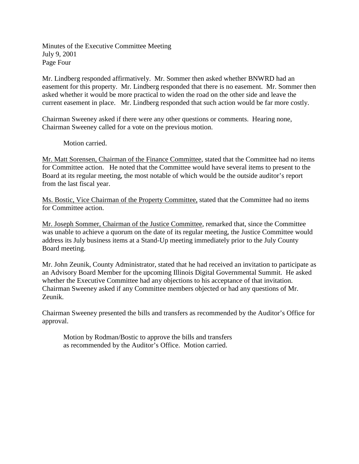Minutes of the Executive Committee Meeting July 9, 2001 Page Four

Mr. Lindberg responded affirmatively. Mr. Sommer then asked whether BNWRD had an easement for this property. Mr. Lindberg responded that there is no easement. Mr. Sommer then asked whether it would be more practical to widen the road on the other side and leave the current easement in place. Mr. Lindberg responded that such action would be far more costly.

Chairman Sweeney asked if there were any other questions or comments. Hearing none, Chairman Sweeney called for a vote on the previous motion.

Motion carried.

Mr. Matt Sorensen, Chairman of the Finance Committee, stated that the Committee had no items for Committee action. He noted that the Committee would have several items to present to the Board at its regular meeting, the most notable of which would be the outside auditor's report from the last fiscal year.

Ms. Bostic, Vice Chairman of the Property Committee, stated that the Committee had no items for Committee action.

Mr. Joseph Sommer, Chairman of the Justice Committee, remarked that, since the Committee was unable to achieve a quorum on the date of its regular meeting, the Justice Committee would address its July business items at a Stand-Up meeting immediately prior to the July County Board meeting.

Mr. John Zeunik, County Administrator, stated that he had received an invitation to participate as an Advisory Board Member for the upcoming Illinois Digital Governmental Summit. He asked whether the Executive Committee had any objections to his acceptance of that invitation. Chairman Sweeney asked if any Committee members objected or had any questions of Mr. Zeunik.

Chairman Sweeney presented the bills and transfers as recommended by the Auditor's Office for approval.

Motion by Rodman/Bostic to approve the bills and transfers as recommended by the Auditor's Office. Motion carried.